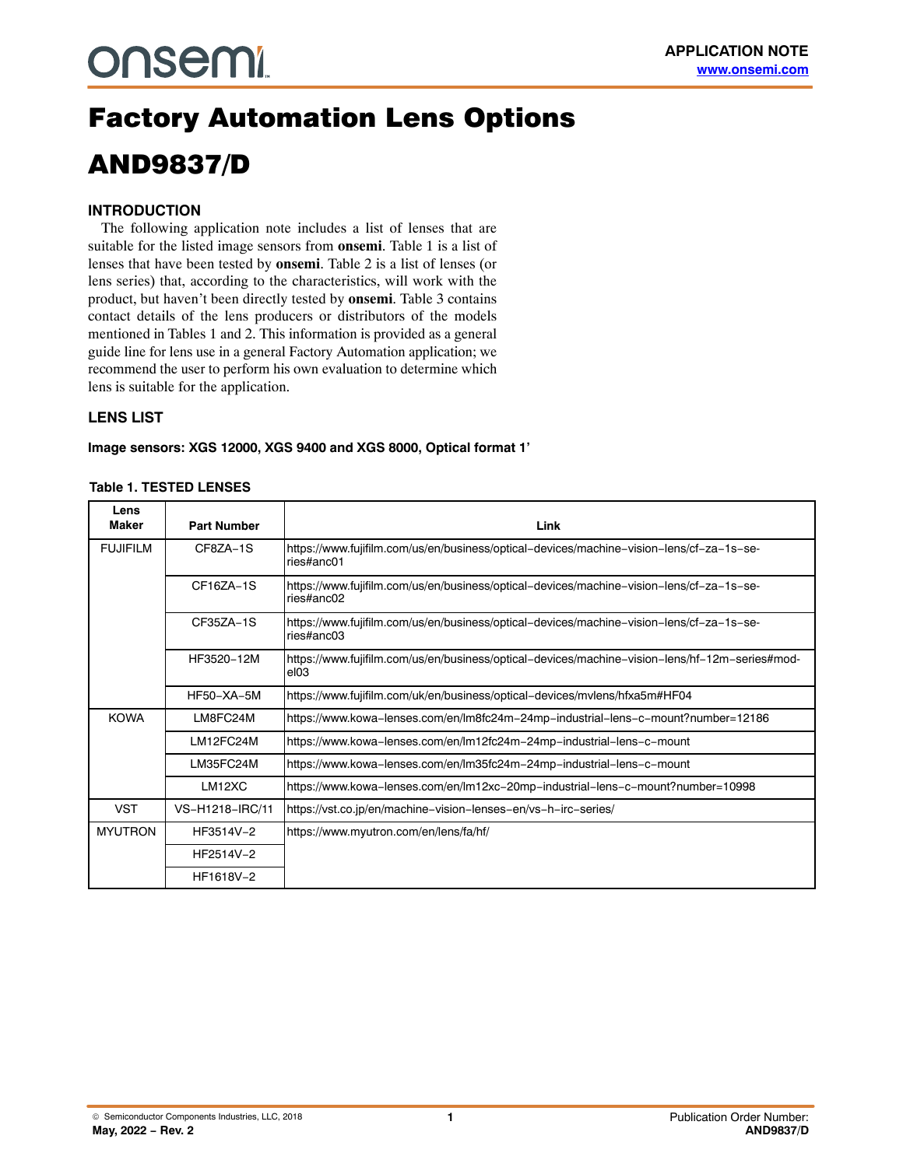# **onsemi**

## Factory Automation Lens Options AND9837/D

#### **INTRODUCTION**

The following application note includes a list of lenses that are suitable for the listed image sensors from **onsemi**. Table 1 is a list of lenses that have been tested by **onsemi**. Table [2](#page-1-0) is a list of lenses (or lens series) that, according to the characteristics, will work with the product, but haven't been directly tested by **onsemi**. Table 3 contains contact details of the lens producers or distributors of the models mentioned in Tables 1 and [2](#page-1-0). This information is provided as a general guide line for lens use in a general Factory Automation application; we recommend the user to perform his own evaluation to determine which lens is suitable for the application.

#### **LENS LIST**

**Image sensors: XGS 12000, XGS 9400 and XGS 8000, Optical format 1'**

#### **Table 1. TESTED LENSES**

| Lens<br>Maker   | <b>Part Number</b> | Link                                                                                                   |
|-----------------|--------------------|--------------------------------------------------------------------------------------------------------|
| <b>FUJIFILM</b> | CF87A-1S           | https://www.fujifilm.com/us/en/business/optical-devices/machine-vision-lens/cf-za-1s-se-<br>ries#anc01 |
|                 | CF16ZA-1S          | https://www.fujifilm.com/us/en/business/optical-devices/machine-vision-lens/cf-za-1s-se-<br>ries#anc02 |
|                 | CF35ZA-1S          | https://www.fujifilm.com/us/en/business/optical–devices/machine–vision–lens/cf–za–1s–se-<br>ries#anc03 |
|                 | HF3520-12M         | https://www.fujifilm.com/us/en/business/optical-devices/machine-vision-lens/hf-12m-series#mod-<br>el03 |
|                 | <b>HF50-XA-5M</b>  | https://www.fujifilm.com/uk/en/business/optical-devices/mvlens/hfxa5m#HF04                             |
| <b>KOWA</b>     | LM8FC24M           | https://www.kowa-lenses.com/en/lm8fc24m-24mp-industrial-lens-c-mount?number=12186                      |
|                 | LM12FC24M          | https://www.kowa-lenses.com/en/lm12fc24m-24mp-industrial-lens-c-mount                                  |
|                 | LM35FC24M          | https://www.kowa-lenses.com/en/lm35fc24m-24mp-industrial-lens-c-mount                                  |
|                 | LM12XC             | https://www.kowa-lenses.com/en/lm12xc-20mp-industrial-lens-c-mount?number=10998                        |
| <b>VST</b>      | VS-H1218-IRC/11    | https://vst.co.jp/en/machine-vision-lenses-en/vs-h-irc-series/                                         |
| <b>MYUTRON</b>  | HF3514V-2          | https://www.myutron.com/en/lens/fa/hf/                                                                 |
|                 | HF2514V-2          |                                                                                                        |
|                 | HF1618V-2          |                                                                                                        |